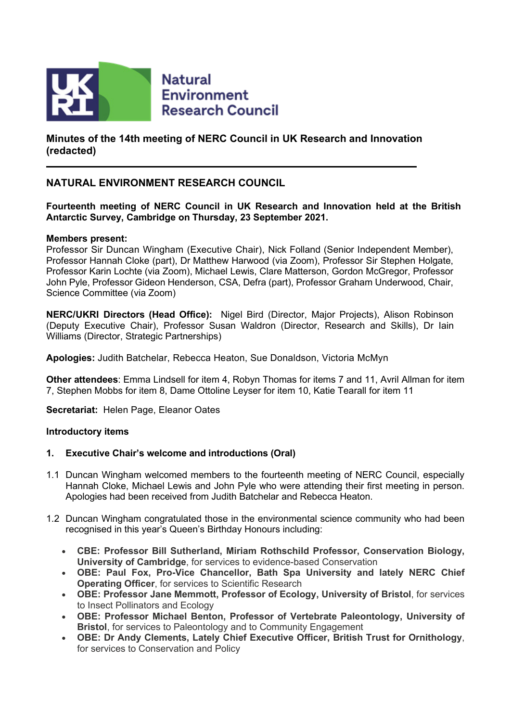

**Minutes of the 14th meeting of NERC Council in UK Research and Innovation (redacted)**

# **NATURAL ENVIRONMENT RESEARCH COUNCIL**

# **Fourteenth meeting of NERC Council in UK Research and Innovation held at the British Antarctic Survey, Cambridge on Thursday, 23 September 2021.**

### **Members present:**

Professor Sir Duncan Wingham (Executive Chair), Nick Folland (Senior Independent Member), Professor Hannah Cloke (part), Dr Matthew Harwood (via Zoom), Professor Sir Stephen Holgate, Professor Karin Lochte (via Zoom), Michael Lewis, Clare Matterson, Gordon McGregor, Professor John Pyle, Professor Gideon Henderson, CSA, Defra (part), Professor Graham Underwood, Chair, Science Committee (via Zoom)

**NERC/UKRI Directors (Head Office):** Nigel Bird (Director, Major Projects), Alison Robinson (Deputy Executive Chair), Professor Susan Waldron (Director, Research and Skills), Dr Iain Williams (Director, Strategic Partnerships)

**Apologies:** Judith Batchelar, Rebecca Heaton, Sue Donaldson, Victoria McMyn

**Other attendees**: Emma Lindsell for item 4, Robyn Thomas for items 7 and 11, Avril Allman for item 7, Stephen Mobbs for item 8, Dame Ottoline Leyser for item 10, Katie Tearall for item 11

**Secretariat:** Helen Page, Eleanor Oates

#### **Introductory items**

# **1. Executive Chair's welcome and introductions (Oral)**

- 1.1 Duncan Wingham welcomed members to the fourteenth meeting of NERC Council, especially Hannah Cloke, Michael Lewis and John Pyle who were attending their first meeting in person. Apologies had been received from Judith Batchelar and Rebecca Heaton.
- 1.2 Duncan Wingham congratulated those in the environmental science community who had been recognised in this year's Queen's Birthday Honours including:
	- **CBE: Professor Bill Sutherland, Miriam Rothschild Professor, Conservation Biology, University of Cambridge**, for services to evidence-based Conservation
	- **OBE: Paul Fox, Pro-Vice Chancellor, Bath Spa University and lately NERC Chief Operating Officer**, for services to Scientific Research
	- **OBE: Professor Jane Memmott, Professor of Ecology, University of Bristol**, for services to Insect Pollinators and Ecology
	- **OBE: Professor Michael Benton, Professor of Vertebrate Paleontology, University of Bristol**, for services to Paleontology and to Community Engagement
	- **OBE: Dr Andy Clements, Lately Chief Executive Officer, British Trust for Ornithology**, for services to Conservation and Policy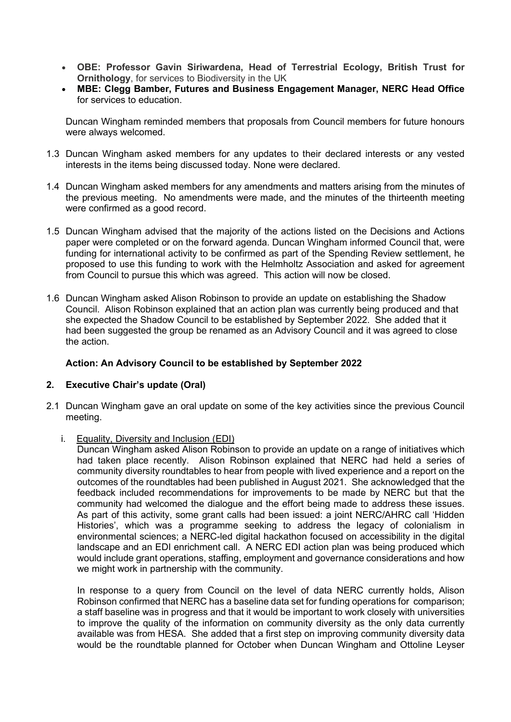- **OBE: Professor Gavin Siriwardena, Head of Terrestrial Ecology, British Trust for Ornithology**, for services to Biodiversity in the UK
- **MBE: Clegg Bamber, Futures and Business Engagement Manager, NERC Head Office** for services to education.

Duncan Wingham reminded members that proposals from Council members for future honours were always welcomed.

- 1.3 Duncan Wingham asked members for any updates to their declared interests or any vested interests in the items being discussed today. None were declared.
- 1.4 Duncan Wingham asked members for any amendments and matters arising from the minutes of the previous meeting. No amendments were made, and the minutes of the thirteenth meeting were confirmed as a good record.
- 1.5 Duncan Wingham advised that the majority of the actions listed on the Decisions and Actions paper were completed or on the forward agenda. Duncan Wingham informed Council that, were funding for international activity to be confirmed as part of the Spending Review settlement, he proposed to use this funding to work with the Helmholtz Association and asked for agreement from Council to pursue this which was agreed. This action will now be closed.
- 1.6 Duncan Wingham asked Alison Robinson to provide an update on establishing the Shadow Council. Alison Robinson explained that an action plan was currently being produced and that she expected the Shadow Council to be established by September 2022. She added that it had been suggested the group be renamed as an Advisory Council and it was agreed to close the action.

# **Action: An Advisory Council to be established by September 2022**

# **2. Executive Chair's update (Oral)**

- 2.1 Duncan Wingham gave an oral update on some of the key activities since the previous Council meeting.
	- i. Equality, Diversity and Inclusion (EDI)

Duncan Wingham asked Alison Robinson to provide an update on a range of initiatives which had taken place recently. Alison Robinson explained that NERC had held a series of community diversity roundtables to hear from people with lived experience and a report on the outcomes of the roundtables had been published in August 2021. She acknowledged that the feedback included recommendations for improvements to be made by NERC but that the community had welcomed the dialogue and the effort being made to address these issues. As part of this activity, some grant calls had been issued: a joint NERC/AHRC call 'Hidden Histories', which was a programme seeking to address the legacy of colonialism in environmental sciences; a NERC-led digital hackathon focused on accessibility in the digital landscape and an EDI enrichment call. A NERC EDI action plan was being produced which would include grant operations, staffing, employment and governance considerations and how we might work in partnership with the community.

In response to a query from Council on the level of data NERC currently holds, Alison Robinson confirmed that NERC has a baseline data set for funding operations for comparison; a staff baseline was in progress and that it would be important to work closely with universities to improve the quality of the information on community diversity as the only data currently available was from HESA. She added that a first step on improving community diversity data would be the roundtable planned for October when Duncan Wingham and Ottoline Leyser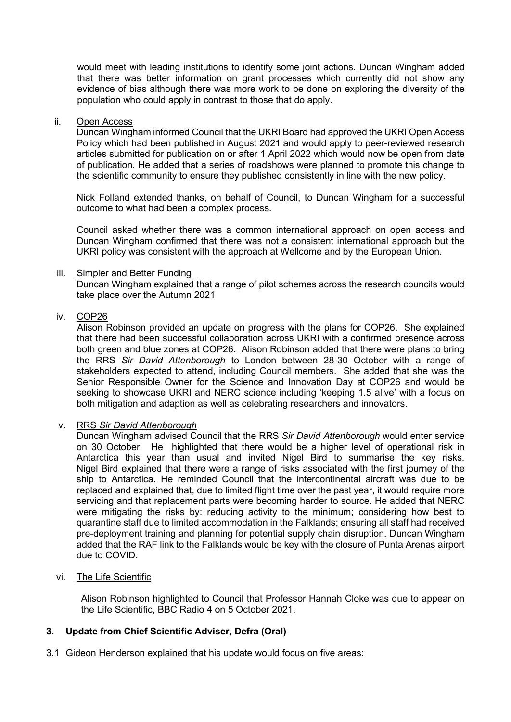would meet with leading institutions to identify some joint actions. Duncan Wingham added that there was better information on grant processes which currently did not show any evidence of bias although there was more work to be done on exploring the diversity of the population who could apply in contrast to those that do apply.

#### ii. Open Access

Duncan Wingham informed Council that the UKRI Board had approved the UKRI Open Access Policy which had been published in August 2021 and would apply to peer-reviewed research articles submitted for publication on or after 1 April 2022 which would now be open from date of publication. He added that a series of roadshows were planned to promote this change to the scientific community to ensure they published consistently in line with the new policy.

Nick Folland extended thanks, on behalf of Council, to Duncan Wingham for a successful outcome to what had been a complex process.

Council asked whether there was a common international approach on open access and Duncan Wingham confirmed that there was not a consistent international approach but the UKRI policy was consistent with the approach at Wellcome and by the European Union.

### iii. Simpler and Better Funding

Duncan Wingham explained that a range of pilot schemes across the research councils would take place over the Autumn 2021

# iv. COP26

Alison Robinson provided an update on progress with the plans for COP26. She explained that there had been successful collaboration across UKRI with a confirmed presence across both green and blue zones at COP26. Alison Robinson added that there were plans to bring the RRS *Sir David Attenborough* to London between 28-30 October with a range of stakeholders expected to attend, including Council members. She added that she was the Senior Responsible Owner for the Science and Innovation Day at COP26 and would be seeking to showcase UKRI and NERC science including 'keeping 1.5 alive' with a focus on both mitigation and adaption as well as celebrating researchers and innovators.

# v. RRS *Sir David Attenborough*

Duncan Wingham advised Council that the RRS *Sir David Attenborough* would enter service on 30 October. He highlighted that there would be a higher level of operational risk in Antarctica this year than usual and invited Nigel Bird to summarise the key risks. Nigel Bird explained that there were a range of risks associated with the first journey of the ship to Antarctica. He reminded Council that the intercontinental aircraft was due to be replaced and explained that, due to limited flight time over the past year, it would require more servicing and that replacement parts were becoming harder to source. He added that NERC were mitigating the risks by: reducing activity to the minimum; considering how best to quarantine staff due to limited accommodation in the Falklands; ensuring all staff had received pre-deployment training and planning for potential supply chain disruption. Duncan Wingham added that the RAF link to the Falklands would be key with the closure of Punta Arenas airport due to COVID.

#### vi. The Life Scientific

Alison Robinson highlighted to Council that Professor Hannah Cloke was due to appear on the Life Scientific, BBC Radio 4 on 5 October 2021.

# **3. Update from Chief Scientific Adviser, Defra (Oral)**

3.1 Gideon Henderson explained that his update would focus on five areas: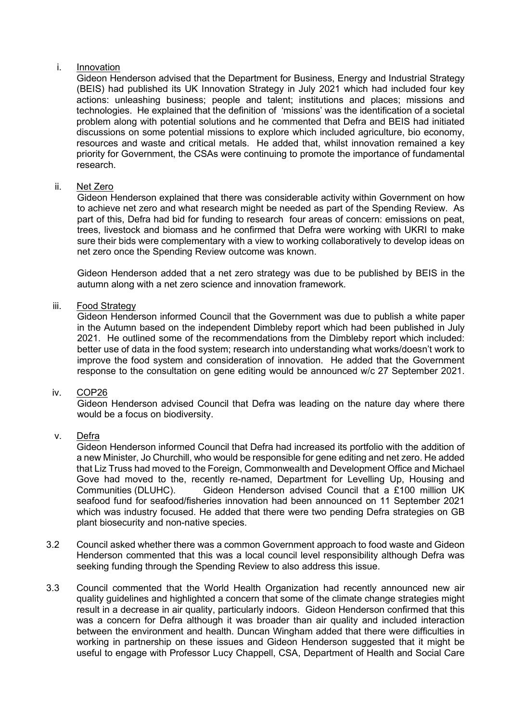#### i. Innovation

Gideon Henderson advised that the Department for Business, Energy and Industrial Strategy (BEIS) had published its UK Innovation Strategy in July 2021 which had included four key actions: unleashing business; people and talent; institutions and places; missions and technologies. He explained that the definition of 'missions' was the identification of a societal problem along with potential solutions and he commented that Defra and BEIS had initiated discussions on some potential missions to explore which included agriculture, bio economy, resources and waste and critical metals. He added that, whilst innovation remained a key priority for Government, the CSAs were continuing to promote the importance of fundamental research.

# ii. Net Zero

Gideon Henderson explained that there was considerable activity within Government on how to achieve net zero and what research might be needed as part of the Spending Review. As part of this, Defra had bid for funding to research four areas of concern: emissions on peat, trees, livestock and biomass and he confirmed that Defra were working with UKRI to make sure their bids were complementary with a view to working collaboratively to develop ideas on net zero once the Spending Review outcome was known.

Gideon Henderson added that a net zero strategy was due to be published by BEIS in the autumn along with a net zero science and innovation framework.

### iii. Food Strategy

Gideon Henderson informed Council that the Government was due to publish a white paper in the Autumn based on the independent Dimbleby report which had been published in July 2021. He outlined some of the recommendations from the Dimbleby report which included: better use of data in the food system; research into understanding what works/doesn't work to improve the food system and consideration of innovation. He added that the Government response to the consultation on gene editing would be announced w/c 27 September 2021.

### iv. COP26

Gideon Henderson advised Council that Defra was leading on the nature day where there would be a focus on biodiversity.

# v. Defra

Gideon Henderson informed Council that Defra had increased its portfolio with the addition of a new Minister, Jo Churchill, who would be responsible for gene editing and net zero. He added that Liz Truss had moved to the Foreign, Commonwealth and Development Office and Michael Gove had moved to the, recently re-named, Department for Levelling Up, Housing and Communities (DLUHC). Gideon Henderson advised Council that a £100 million UK seafood fund for seafood/fisheries innovation had been announced on 11 September 2021 which was industry focused. He added that there were two pending Defra strategies on GB plant biosecurity and non-native species.

- 3.2 Council asked whether there was a common Government approach to food waste and Gideon Henderson commented that this was a local council level responsibility although Defra was seeking funding through the Spending Review to also address this issue.
- 3.3 Council commented that the World Health Organization had recently announced new air quality guidelines and highlighted a concern that some of the climate change strategies might result in a decrease in air quality, particularly indoors. Gideon Henderson confirmed that this was a concern for Defra although it was broader than air quality and included interaction between the environment and health. Duncan Wingham added that there were difficulties in working in partnership on these issues and Gideon Henderson suggested that it might be useful to engage with Professor Lucy Chappell, CSA, Department of Health and Social Care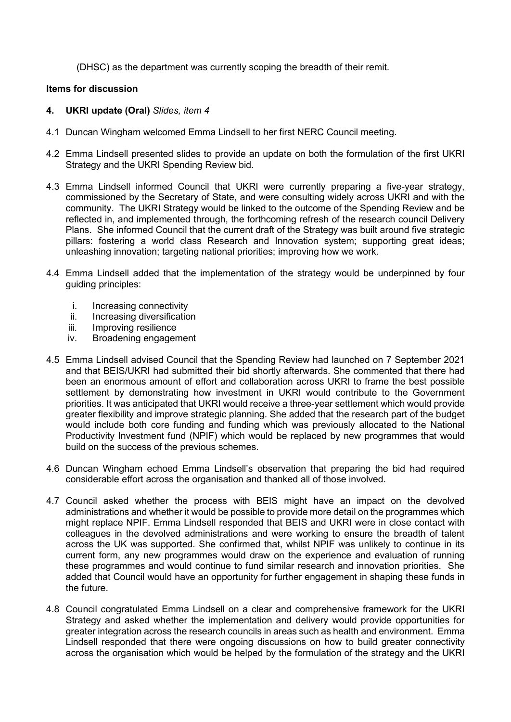(DHSC) as the department was currently scoping the breadth of their remit.

### **Items for discussion**

### **4. UKRI update (Oral)** *Slides, item 4*

- 4.1 Duncan Wingham welcomed Emma Lindsell to her first NERC Council meeting.
- 4.2 Emma Lindsell presented slides to provide an update on both the formulation of the first UKRI Strategy and the UKRI Spending Review bid.
- 4.3 Emma Lindsell informed Council that UKRI were currently preparing a five-year strategy, commissioned by the Secretary of State, and were consulting widely across UKRI and with the community. The UKRI Strategy would be linked to the outcome of the Spending Review and be reflected in, and implemented through, the forthcoming refresh of the research council Delivery Plans. She informed Council that the current draft of the Strategy was built around five strategic pillars: fostering a world class Research and Innovation system; supporting great ideas; unleashing innovation; targeting national priorities; improving how we work.
- 4.4 Emma Lindsell added that the implementation of the strategy would be underpinned by four guiding principles:
	-
	- i. Increasing connectivity<br>ii. Increasing diversificatio Increasing diversification
	- iii. Improving resilience<br>iv Broadening engagen
	- Broadening engagement
- 4.5 Emma Lindsell advised Council that the Spending Review had launched on 7 September 2021 and that BEIS/UKRI had submitted their bid shortly afterwards. She commented that there had been an enormous amount of effort and collaboration across UKRI to frame the best possible settlement by demonstrating how investment in UKRI would contribute to the Government priorities. It was anticipated that UKRI would receive a three-year settlement which would provide greater flexibility and improve strategic planning. She added that the research part of the budget would include both core funding and funding which was previously allocated to the National Productivity Investment fund (NPIF) which would be replaced by new programmes that would build on the success of the previous schemes.
- 4.6 Duncan Wingham echoed Emma Lindsell's observation that preparing the bid had required considerable effort across the organisation and thanked all of those involved.
- 4.7 Council asked whether the process with BEIS might have an impact on the devolved administrations and whether it would be possible to provide more detail on the programmes which might replace NPIF. Emma Lindsell responded that BEIS and UKRI were in close contact with colleagues in the devolved administrations and were working to ensure the breadth of talent across the UK was supported. She confirmed that, whilst NPIF was unlikely to continue in its current form, any new programmes would draw on the experience and evaluation of running these programmes and would continue to fund similar research and innovation priorities. She added that Council would have an opportunity for further engagement in shaping these funds in the future.
- 4.8 Council congratulated Emma Lindsell on a clear and comprehensive framework for the UKRI Strategy and asked whether the implementation and delivery would provide opportunities for greater integration across the research councils in areas such as health and environment. Emma Lindsell responded that there were ongoing discussions on how to build greater connectivity across the organisation which would be helped by the formulation of the strategy and the UKRI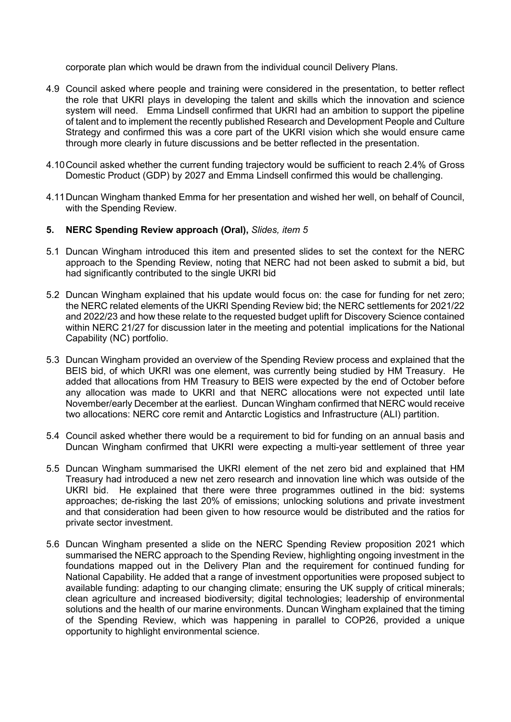corporate plan which would be drawn from the individual council Delivery Plans.

- 4.9 Council asked where people and training were considered in the presentation, to better reflect the role that UKRI plays in developing the talent and skills which the innovation and science system will need. Emma Lindsell confirmed that UKRI had an ambition to support the pipeline of talent and to implement the recently published Research and Development People and Culture Strategy and confirmed this was a core part of the UKRI vision which she would ensure came through more clearly in future discussions and be better reflected in the presentation.
- 4.10Council asked whether the current funding trajectory would be sufficient to reach 2.4% of Gross Domestic Product (GDP) by 2027 and Emma Lindsell confirmed this would be challenging.
- 4.11Duncan Wingham thanked Emma for her presentation and wished her well, on behalf of Council, with the Spending Review.

### **5. NERC Spending Review approach (Oral),** *Slides, item 5*

- 5.1 Duncan Wingham introduced this item and presented slides to set the context for the NERC approach to the Spending Review, noting that NERC had not been asked to submit a bid, but had significantly contributed to the single UKRI bid
- 5.2 Duncan Wingham explained that his update would focus on: the case for funding for net zero; the NERC related elements of the UKRI Spending Review bid; the NERC settlements for 2021/22 and 2022/23 and how these relate to the requested budget uplift for Discovery Science contained within NERC 21/27 for discussion later in the meeting and potential implications for the National Capability (NC) portfolio.
- 5.3 Duncan Wingham provided an overview of the Spending Review process and explained that the BEIS bid, of which UKRI was one element, was currently being studied by HM Treasury. He added that allocations from HM Treasury to BEIS were expected by the end of October before any allocation was made to UKRI and that NERC allocations were not expected until late November/early December at the earliest. Duncan Wingham confirmed that NERC would receive two allocations: NERC core remit and Antarctic Logistics and Infrastructure (ALI) partition.
- 5.4 Council asked whether there would be a requirement to bid for funding on an annual basis and Duncan Wingham confirmed that UKRI were expecting a multi-year settlement of three year
- 5.5 Duncan Wingham summarised the UKRI element of the net zero bid and explained that HM Treasury had introduced a new net zero research and innovation line which was outside of the UKRI bid. He explained that there were three programmes outlined in the bid: systems approaches; de-risking the last 20% of emissions; unlocking solutions and private investment and that consideration had been given to how resource would be distributed and the ratios for private sector investment.
- 5.6 Duncan Wingham presented a slide on the NERC Spending Review proposition 2021 which summarised the NERC approach to the Spending Review, highlighting ongoing investment in the foundations mapped out in the Delivery Plan and the requirement for continued funding for National Capability. He added that a range of investment opportunities were proposed subject to available funding: adapting to our changing climate; ensuring the UK supply of critical minerals; clean agriculture and increased biodiversity; digital technologies; leadership of environmental solutions and the health of our marine environments. Duncan Wingham explained that the timing of the Spending Review, which was happening in parallel to COP26, provided a unique opportunity to highlight environmental science.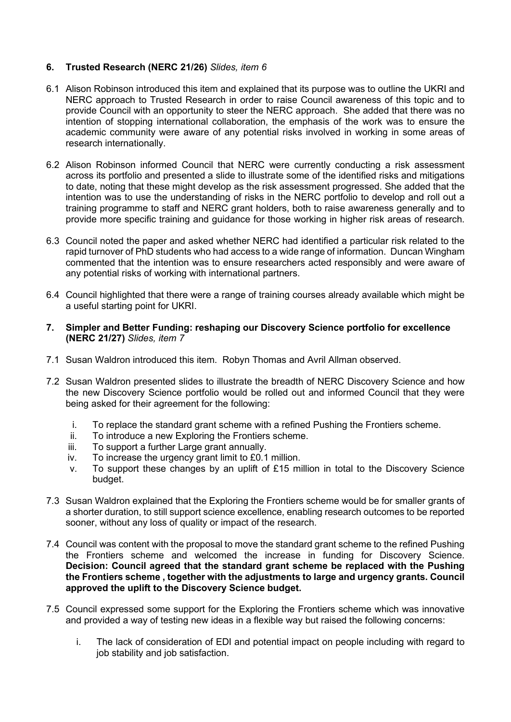# **6. Trusted Research (NERC 21/26)** *Slides, item 6*

- 6.1 Alison Robinson introduced this item and explained that its purpose was to outline the UKRI and NERC approach to Trusted Research in order to raise Council awareness of this topic and to provide Council with an opportunity to steer the NERC approach. She added that there was no intention of stopping international collaboration, the emphasis of the work was to ensure the academic community were aware of any potential risks involved in working in some areas of research internationally.
- 6.2 Alison Robinson informed Council that NERC were currently conducting a risk assessment across its portfolio and presented a slide to illustrate some of the identified risks and mitigations to date, noting that these might develop as the risk assessment progressed. She added that the intention was to use the understanding of risks in the NERC portfolio to develop and roll out a training programme to staff and NERC grant holders, both to raise awareness generally and to provide more specific training and guidance for those working in higher risk areas of research.
- 6.3 Council noted the paper and asked whether NERC had identified a particular risk related to the rapid turnover of PhD students who had access to a wide range of information. Duncan Wingham commented that the intention was to ensure researchers acted responsibly and were aware of any potential risks of working with international partners.
- 6.4 Council highlighted that there were a range of training courses already available which might be a useful starting point for UKRI.
- **7. Simpler and Better Funding: reshaping our Discovery Science portfolio for excellence (NERC 21/27)** *Slides, item 7*
- 7.1 Susan Waldron introduced this item. Robyn Thomas and Avril Allman observed.
- 7.2 Susan Waldron presented slides to illustrate the breadth of NERC Discovery Science and how the new Discovery Science portfolio would be rolled out and informed Council that they were being asked for their agreement for the following:
	- i. To replace the standard grant scheme with a refined Pushing the Frontiers scheme.<br>ii. To introduce a new Exploring the Frontiers scheme.
	- ii. To introduce a new Exploring the Frontiers scheme.<br>iii. To support a further Large grant annually.
	- To support a further Large grant annually.
	- iv. To increase the urgency grant limit to £0.1 million.
	- v. To support these changes by an uplift of £15 million in total to the Discovery Science budget.
- 7.3 Susan Waldron explained that the Exploring the Frontiers scheme would be for smaller grants of a shorter duration, to still support science excellence, enabling research outcomes to be reported sooner, without any loss of quality or impact of the research.
- 7.4 Council was content with the proposal to move the standard grant scheme to the refined Pushing the Frontiers scheme and welcomed the increase in funding for Discovery Science. **Decision: Council agreed that the standard grant scheme be replaced with the Pushing the Frontiers scheme , together with the adjustments to large and urgency grants. Council approved the uplift to the Discovery Science budget.**
- 7.5 Council expressed some support for the Exploring the Frontiers scheme which was innovative and provided a way of testing new ideas in a flexible way but raised the following concerns:
	- i. The lack of consideration of EDI and potential impact on people including with regard to job stability and job satisfaction.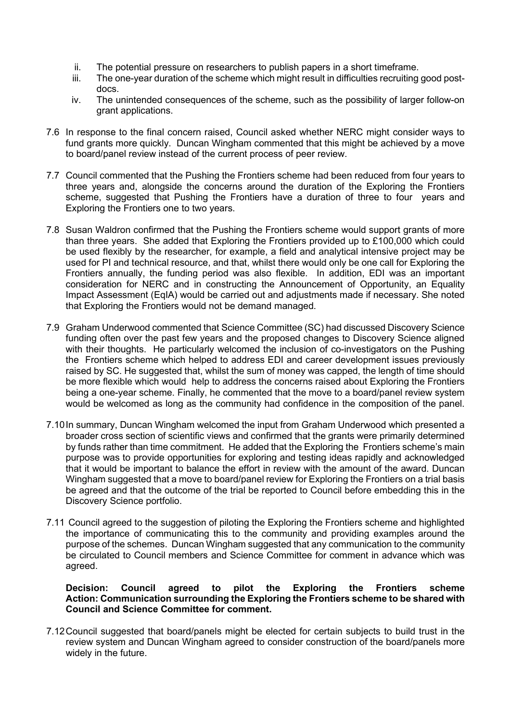- ii. The potential pressure on researchers to publish papers in a short timeframe.
- iii. The one-year duration of the scheme which might result in difficulties recruiting good postdocs.
- iv. The unintended consequences of the scheme, such as the possibility of larger follow-on grant applications.
- 7.6 In response to the final concern raised, Council asked whether NERC might consider ways to fund grants more quickly. Duncan Wingham commented that this might be achieved by a move to board/panel review instead of the current process of peer review.
- 7.7 Council commented that the Pushing the Frontiers scheme had been reduced from four years to three years and, alongside the concerns around the duration of the Exploring the Frontiers scheme, suggested that Pushing the Frontiers have a duration of three to four years and Exploring the Frontiers one to two years.
- 7.8 Susan Waldron confirmed that the Pushing the Frontiers scheme would support grants of more than three years. She added that Exploring the Frontiers provided up to £100,000 which could be used flexibly by the researcher, for example, a field and analytical intensive project may be used for PI and technical resource, and that, whilst there would only be one call for Exploring the Frontiers annually, the funding period was also flexible. In addition, EDI was an important consideration for NERC and in constructing the Announcement of Opportunity, an Equality Impact Assessment (EqIA) would be carried out and adjustments made if necessary. She noted that Exploring the Frontiers would not be demand managed.
- 7.9 Graham Underwood commented that Science Committee (SC) had discussed Discovery Science funding often over the past few years and the proposed changes to Discovery Science aligned with their thoughts. He particularly welcomed the inclusion of co-investigators on the Pushing the Frontiers scheme which helped to address EDI and career development issues previously raised by SC. He suggested that, whilst the sum of money was capped, the length of time should be more flexible which would help to address the concerns raised about Exploring the Frontiers being a one-year scheme. Finally, he commented that the move to a board/panel review system would be welcomed as long as the community had confidence in the composition of the panel.
- 7.10In summary, Duncan Wingham welcomed the input from Graham Underwood which presented a broader cross section of scientific views and confirmed that the grants were primarily determined by funds rather than time commitment. He added that the Exploring the Frontiers scheme's main purpose was to provide opportunities for exploring and testing ideas rapidly and acknowledged that it would be important to balance the effort in review with the amount of the award. Duncan Wingham suggested that a move to board/panel review for Exploring the Frontiers on a trial basis be agreed and that the outcome of the trial be reported to Council before embedding this in the Discovery Science portfolio.
- 7.11 Council agreed to the suggestion of piloting the Exploring the Frontiers scheme and highlighted the importance of communicating this to the community and providing examples around the purpose of the schemes. Duncan Wingham suggested that any communication to the community be circulated to Council members and Science Committee for comment in advance which was agreed.

# **Decision: Council agreed to pilot the Exploring the Frontiers scheme Action: Communication surrounding the Exploring the Frontiers scheme to be shared with Council and Science Committee for comment.**

7.12Council suggested that board/panels might be elected for certain subjects to build trust in the review system and Duncan Wingham agreed to consider construction of the board/panels more widely in the future.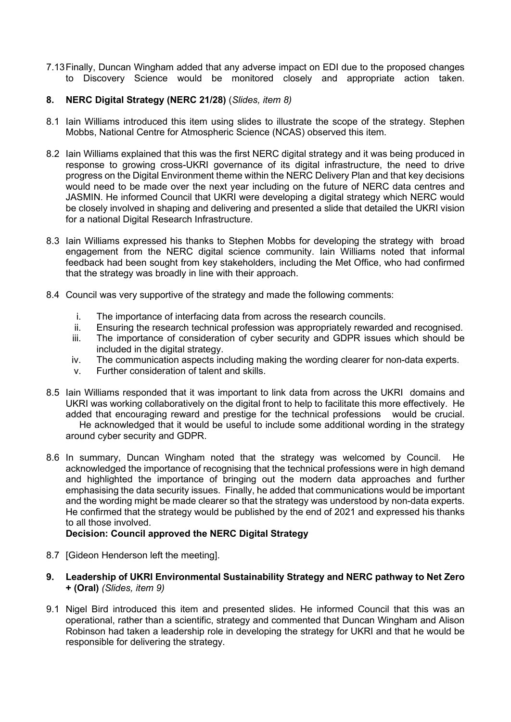7.13Finally, Duncan Wingham added that any adverse impact on EDI due to the proposed changes to Discovery Science would be monitored closely and appropriate action taken.

# **8. NERC Digital Strategy (NERC 21/28)** (*Slides, item 8)*

- 8.1 Iain Williams introduced this item using slides to illustrate the scope of the strategy. Stephen Mobbs, National Centre for Atmospheric Science (NCAS) observed this item.
- 8.2 Iain Williams explained that this was the first NERC digital strategy and it was being produced in response to growing cross-UKRI governance of its digital infrastructure, the need to drive progress on the Digital Environment theme within the NERC Delivery Plan and that key decisions would need to be made over the next year including on the future of NERC data centres and JASMIN. He informed Council that UKRI were developing a digital strategy which NERC would be closely involved in shaping and delivering and presented a slide that detailed the UKRI vision for a national Digital Research Infrastructure.
- 8.3 Iain Williams expressed his thanks to Stephen Mobbs for developing the strategy with broad engagement from the NERC digital science community. Iain Williams noted that informal feedback had been sought from key stakeholders, including the Met Office, who had confirmed that the strategy was broadly in line with their approach.
- 8.4 Council was very supportive of the strategy and made the following comments:
	- i. The importance of interfacing data from across the research councils.
	- ii. Ensuring the research technical profession was appropriately rewarded and recognised.
	- The importance of consideration of cyber security and GDPR issues which should be included in the digital strategy.
	- iv. The communication aspects including making the wording clearer for non-data experts.
	- v. Further consideration of talent and skills.
- 8.5 Iain Williams responded that it was important to link data from across the UKRI domains and UKRI was working collaboratively on the digital front to help to facilitate this more effectively. He added that encouraging reward and prestige for the technical professions would be crucial. He acknowledged that it would be useful to include some additional wording in the strategy around cyber security and GDPR.
- 8.6 In summary, Duncan Wingham noted that the strategy was welcomed by Council. He acknowledged the importance of recognising that the technical professions were in high demand and highlighted the importance of bringing out the modern data approaches and further emphasising the data security issues. Finally, he added that communications would be important and the wording might be made clearer so that the strategy was understood by non-data experts. He confirmed that the strategy would be published by the end of 2021 and expressed his thanks to all those involved.

# **Decision: Council approved the NERC Digital Strategy**

- 8.7 [Gideon Henderson left the meeting].
- **9. Leadership of UKRI Environmental Sustainability Strategy and NERC pathway to Net Zero + (Oral)** *(Slides, item 9)*
- 9.1 Nigel Bird introduced this item and presented slides. He informed Council that this was an operational, rather than a scientific, strategy and commented that Duncan Wingham and Alison Robinson had taken a leadership role in developing the strategy for UKRI and that he would be responsible for delivering the strategy.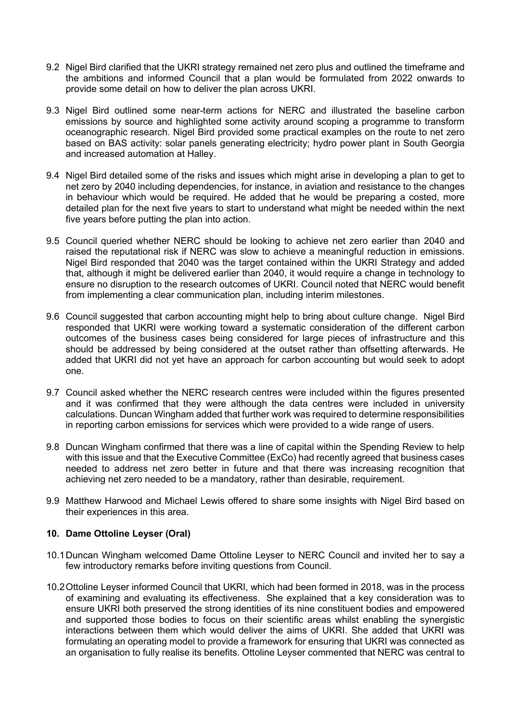- 9.2 Nigel Bird clarified that the UKRI strategy remained net zero plus and outlined the timeframe and the ambitions and informed Council that a plan would be formulated from 2022 onwards to provide some detail on how to deliver the plan across UKRI.
- 9.3 Nigel Bird outlined some near-term actions for NERC and illustrated the baseline carbon emissions by source and highlighted some activity around scoping a programme to transform oceanographic research. Nigel Bird provided some practical examples on the route to net zero based on BAS activity: solar panels generating electricity; hydro power plant in South Georgia and increased automation at Halley.
- 9.4 Nigel Bird detailed some of the risks and issues which might arise in developing a plan to get to net zero by 2040 including dependencies, for instance, in aviation and resistance to the changes in behaviour which would be required. He added that he would be preparing a costed, more detailed plan for the next five years to start to understand what might be needed within the next five years before putting the plan into action.
- 9.5 Council queried whether NERC should be looking to achieve net zero earlier than 2040 and raised the reputational risk if NERC was slow to achieve a meaningful reduction in emissions. Nigel Bird responded that 2040 was the target contained within the UKRI Strategy and added that, although it might be delivered earlier than 2040, it would require a change in technology to ensure no disruption to the research outcomes of UKRI. Council noted that NERC would benefit from implementing a clear communication plan, including interim milestones.
- 9.6 Council suggested that carbon accounting might help to bring about culture change. Nigel Bird responded that UKRI were working toward a systematic consideration of the different carbon outcomes of the business cases being considered for large pieces of infrastructure and this should be addressed by being considered at the outset rather than offsetting afterwards. He added that UKRI did not yet have an approach for carbon accounting but would seek to adopt one.
- 9.7 Council asked whether the NERC research centres were included within the figures presented and it was confirmed that they were although the data centres were included in university calculations. Duncan Wingham added that further work was required to determine responsibilities in reporting carbon emissions for services which were provided to a wide range of users.
- 9.8 Duncan Wingham confirmed that there was a line of capital within the Spending Review to help with this issue and that the Executive Committee (ExCo) had recently agreed that business cases needed to address net zero better in future and that there was increasing recognition that achieving net zero needed to be a mandatory, rather than desirable, requirement.
- 9.9 Matthew Harwood and Michael Lewis offered to share some insights with Nigel Bird based on their experiences in this area.

# **10. Dame Ottoline Leyser (Oral)**

- 10.1Duncan Wingham welcomed Dame Ottoline Leyser to NERC Council and invited her to say a few introductory remarks before inviting questions from Council.
- 10.2Ottoline Leyser informed Council that UKRI, which had been formed in 2018, was in the process of examining and evaluating its effectiveness. She explained that a key consideration was to ensure UKRI both preserved the strong identities of its nine constituent bodies and empowered and supported those bodies to focus on their scientific areas whilst enabling the synergistic interactions between them which would deliver the aims of UKRI. She added that UKRI was formulating an operating model to provide a framework for ensuring that UKRI was connected as an organisation to fully realise its benefits. Ottoline Leyser commented that NERC was central to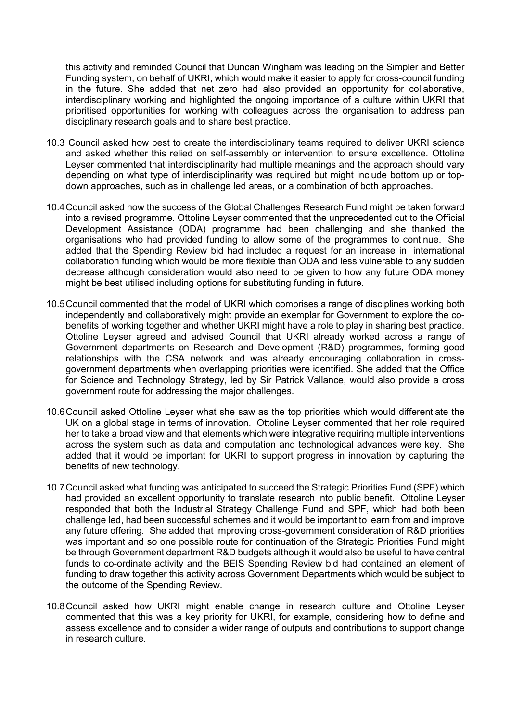this activity and reminded Council that Duncan Wingham was leading on the Simpler and Better Funding system, on behalf of UKRI, which would make it easier to apply for cross-council funding in the future. She added that net zero had also provided an opportunity for collaborative, interdisciplinary working and highlighted the ongoing importance of a culture within UKRI that prioritised opportunities for working with colleagues across the organisation to address pan disciplinary research goals and to share best practice.

- 10.3 Council asked how best to create the interdisciplinary teams required to deliver UKRI science and asked whether this relied on self-assembly or intervention to ensure excellence. Ottoline Leyser commented that interdisciplinarity had multiple meanings and the approach should vary depending on what type of interdisciplinarity was required but might include bottom up or topdown approaches, such as in challenge led areas, or a combination of both approaches.
- 10.4Council asked how the success of the Global Challenges Research Fund might be taken forward into a revised programme. Ottoline Leyser commented that the unprecedented cut to the Official Development Assistance (ODA) programme had been challenging and she thanked the organisations who had provided funding to allow some of the programmes to continue. She added that the Spending Review bid had included a request for an increase in international collaboration funding which would be more flexible than ODA and less vulnerable to any sudden decrease although consideration would also need to be given to how any future ODA money might be best utilised including options for substituting funding in future.
- 10.5Council commented that the model of UKRI which comprises a range of disciplines working both independently and collaboratively might provide an exemplar for Government to explore the cobenefits of working together and whether UKRI might have a role to play in sharing best practice. Ottoline Leyser agreed and advised Council that UKRI already worked across a range of Government departments on Research and Development (R&D) programmes, forming good relationships with the CSA network and was already encouraging collaboration in crossgovernment departments when overlapping priorities were identified. She added that the Office for Science and Technology Strategy, led by Sir Patrick Vallance, would also provide a cross government route for addressing the major challenges.
- 10.6Council asked Ottoline Leyser what she saw as the top priorities which would differentiate the UK on a global stage in terms of innovation. Ottoline Leyser commented that her role required her to take a broad view and that elements which were integrative requiring multiple interventions across the system such as data and computation and technological advances were key. She added that it would be important for UKRI to support progress in innovation by capturing the benefits of new technology.
- 10.7Council asked what funding was anticipated to succeed the Strategic Priorities Fund (SPF) which had provided an excellent opportunity to translate research into public benefit. Ottoline Leyser responded that both the Industrial Strategy Challenge Fund and SPF, which had both been challenge led, had been successful schemes and it would be important to learn from and improve any future offering. She added that improving cross-government consideration of R&D priorities was important and so one possible route for continuation of the Strategic Priorities Fund might be through Government department R&D budgets although it would also be useful to have central funds to co-ordinate activity and the BEIS Spending Review bid had contained an element of funding to draw together this activity across Government Departments which would be subject to the outcome of the Spending Review.
- 10.8Council asked how UKRI might enable change in research culture and Ottoline Leyser commented that this was a key priority for UKRI, for example, considering how to define and assess excellence and to consider a wider range of outputs and contributions to support change in research culture.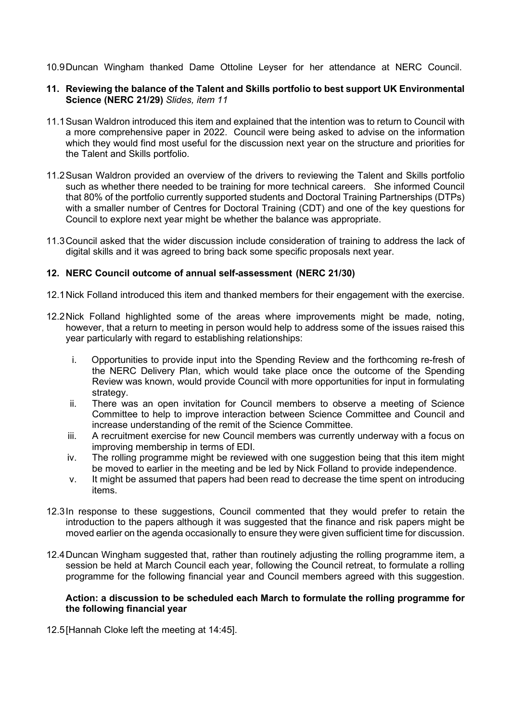10.9Duncan Wingham thanked Dame Ottoline Leyser for her attendance at NERC Council.

### **11. Reviewing the balance of the Talent and Skills portfolio to best support UK Environmental Science (NERC 21/29)** *Slides, item 11*

- 11.1Susan Waldron introduced this item and explained that the intention was to return to Council with a more comprehensive paper in 2022. Council were being asked to advise on the information which they would find most useful for the discussion next year on the structure and priorities for the Talent and Skills portfolio.
- 11.2Susan Waldron provided an overview of the drivers to reviewing the Talent and Skills portfolio such as whether there needed to be training for more technical careers. She informed Council that 80% of the portfolio currently supported students and Doctoral Training Partnerships (DTPs) with a smaller number of Centres for Doctoral Training (CDT) and one of the key questions for Council to explore next year might be whether the balance was appropriate.
- 11.3Council asked that the wider discussion include consideration of training to address the lack of digital skills and it was agreed to bring back some specific proposals next year.

### **12. NERC Council outcome of annual self-assessment (NERC 21/30)**

- 12.1Nick Folland introduced this item and thanked members for their engagement with the exercise.
- 12.2Nick Folland highlighted some of the areas where improvements might be made, noting, however, that a return to meeting in person would help to address some of the issues raised this year particularly with regard to establishing relationships:
	- i. Opportunities to provide input into the Spending Review and the forthcoming re-fresh of the NERC Delivery Plan, which would take place once the outcome of the Spending Review was known, would provide Council with more opportunities for input in formulating strategy.
	- ii. There was an open invitation for Council members to observe a meeting of Science Committee to help to improve interaction between Science Committee and Council and increase understanding of the remit of the Science Committee.
	- iii. A recruitment exercise for new Council members was currently underway with a focus on improving membership in terms of EDI.
	- iv. The rolling programme might be reviewed with one suggestion being that this item might be moved to earlier in the meeting and be led by Nick Folland to provide independence.
	- v. It might be assumed that papers had been read to decrease the time spent on introducing items.
- 12.3In response to these suggestions, Council commented that they would prefer to retain the introduction to the papers although it was suggested that the finance and risk papers might be moved earlier on the agenda occasionally to ensure they were given sufficient time for discussion.
- 12.4Duncan Wingham suggested that, rather than routinely adjusting the rolling programme item, a session be held at March Council each year, following the Council retreat, to formulate a rolling programme for the following financial year and Council members agreed with this suggestion.

#### **Action: a discussion to be scheduled each March to formulate the rolling programme for the following financial year**

12.5[Hannah Cloke left the meeting at 14:45].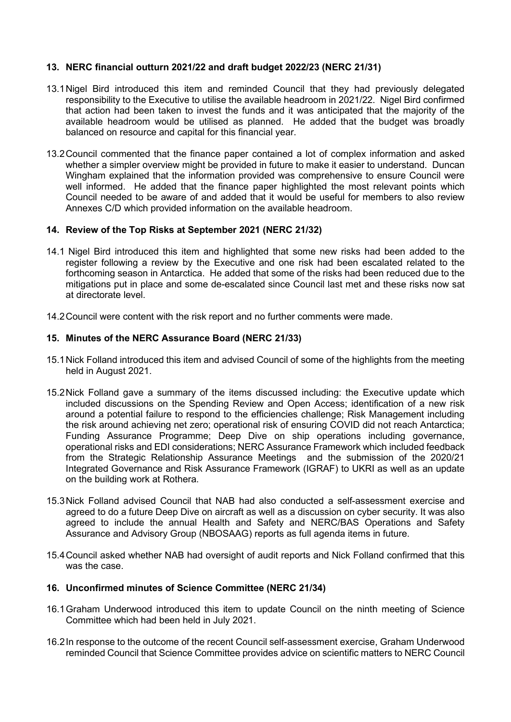# **13. NERC financial outturn 2021/22 and draft budget 2022/23 (NERC 21/31)**

- 13.1Nigel Bird introduced this item and reminded Council that they had previously delegated responsibility to the Executive to utilise the available headroom in 2021/22. Nigel Bird confirmed that action had been taken to invest the funds and it was anticipated that the majority of the available headroom would be utilised as planned. He added that the budget was broadly balanced on resource and capital for this financial year.
- 13.2Council commented that the finance paper contained a lot of complex information and asked whether a simpler overview might be provided in future to make it easier to understand. Duncan Wingham explained that the information provided was comprehensive to ensure Council were well informed. He added that the finance paper highlighted the most relevant points which Council needed to be aware of and added that it would be useful for members to also review Annexes C/D which provided information on the available headroom.

### **14. Review of the Top Risks at September 2021 (NERC 21/32)**

- 14.1 Nigel Bird introduced this item and highlighted that some new risks had been added to the register following a review by the Executive and one risk had been escalated related to the forthcoming season in Antarctica. He added that some of the risks had been reduced due to the mitigations put in place and some de-escalated since Council last met and these risks now sat at directorate level.
- 14.2Council were content with the risk report and no further comments were made.

### **15. Minutes of the NERC Assurance Board (NERC 21/33)**

- 15.1Nick Folland introduced this item and advised Council of some of the highlights from the meeting held in August 2021.
- 15.2Nick Folland gave a summary of the items discussed including: the Executive update which included discussions on the Spending Review and Open Access; identification of a new risk around a potential failure to respond to the efficiencies challenge; Risk Management including the risk around achieving net zero; operational risk of ensuring COVID did not reach Antarctica; Funding Assurance Programme; Deep Dive on ship operations including governance, operational risks and EDI considerations; NERC Assurance Framework which included feedback from the Strategic Relationship Assurance Meetings and the submission of the 2020/21 Integrated Governance and Risk Assurance Framework (IGRAF) to UKRI as well as an update on the building work at Rothera.
- 15.3Nick Folland advised Council that NAB had also conducted a self-assessment exercise and agreed to do a future Deep Dive on aircraft as well as a discussion on cyber security. It was also agreed to include the annual Health and Safety and NERC/BAS Operations and Safety Assurance and Advisory Group (NBOSAAG) reports as full agenda items in future.
- 15.4Council asked whether NAB had oversight of audit reports and Nick Folland confirmed that this was the case.

#### **16. Unconfirmed minutes of Science Committee (NERC 21/34)**

- 16.1Graham Underwood introduced this item to update Council on the ninth meeting of Science Committee which had been held in July 2021.
- 16.2In response to the outcome of the recent Council self-assessment exercise, Graham Underwood reminded Council that Science Committee provides advice on scientific matters to NERC Council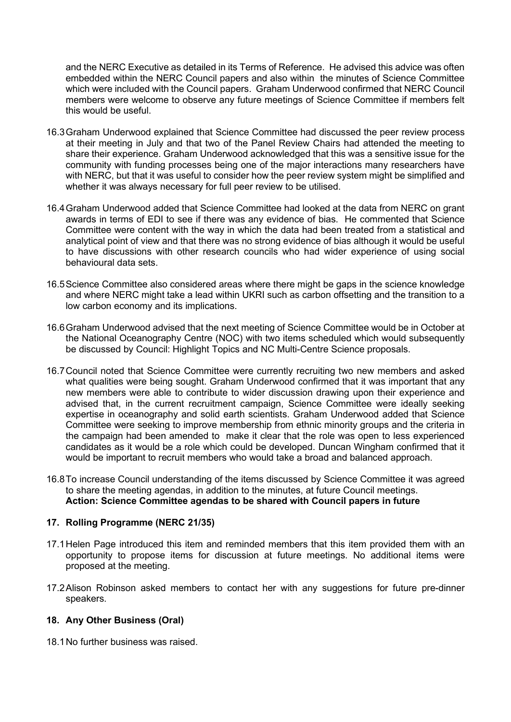and the NERC Executive as detailed in its Terms of Reference. He advised this advice was often embedded within the NERC Council papers and also within the minutes of Science Committee which were included with the Council papers. Graham Underwood confirmed that NERC Council members were welcome to observe any future meetings of Science Committee if members felt this would be useful.

- 16.3Graham Underwood explained that Science Committee had discussed the peer review process at their meeting in July and that two of the Panel Review Chairs had attended the meeting to share their experience. Graham Underwood acknowledged that this was a sensitive issue for the community with funding processes being one of the major interactions many researchers have with NERC, but that it was useful to consider how the peer review system might be simplified and whether it was always necessary for full peer review to be utilised.
- 16.4Graham Underwood added that Science Committee had looked at the data from NERC on grant awards in terms of EDI to see if there was any evidence of bias. He commented that Science Committee were content with the way in which the data had been treated from a statistical and analytical point of view and that there was no strong evidence of bias although it would be useful to have discussions with other research councils who had wider experience of using social behavioural data sets.
- 16.5Science Committee also considered areas where there might be gaps in the science knowledge and where NERC might take a lead within UKRI such as carbon offsetting and the transition to a low carbon economy and its implications.
- 16.6Graham Underwood advised that the next meeting of Science Committee would be in October at the National Oceanography Centre (NOC) with two items scheduled which would subsequently be discussed by Council: Highlight Topics and NC Multi-Centre Science proposals.
- 16.7Council noted that Science Committee were currently recruiting two new members and asked what qualities were being sought. Graham Underwood confirmed that it was important that any new members were able to contribute to wider discussion drawing upon their experience and advised that, in the current recruitment campaign, Science Committee were ideally seeking expertise in oceanography and solid earth scientists. Graham Underwood added that Science Committee were seeking to improve membership from ethnic minority groups and the criteria in the campaign had been amended to make it clear that the role was open to less experienced candidates as it would be a role which could be developed. Duncan Wingham confirmed that it would be important to recruit members who would take a broad and balanced approach.
- 16.8To increase Council understanding of the items discussed by Science Committee it was agreed to share the meeting agendas, in addition to the minutes, at future Council meetings. **Action: Science Committee agendas to be shared with Council papers in future**

# **17. Rolling Programme (NERC 21/35)**

- 17.1Helen Page introduced this item and reminded members that this item provided them with an opportunity to propose items for discussion at future meetings. No additional items were proposed at the meeting.
- 17.2Alison Robinson asked members to contact her with any suggestions for future pre-dinner speakers.

# **18. Any Other Business (Oral)**

18.1No further business was raised.